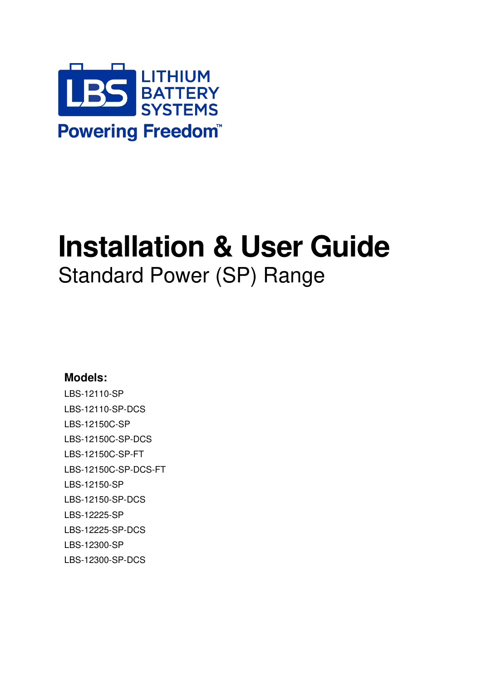

# **Installation & User Guide**  Standard Power (SP) Range

### **Models:**

LBS-12110-SP LBS-12110-SP-DCS LBS-12150C-SP LBS-12150C-SP-DCS LBS-12150C-SP-FT LBS-12150C-SP-DCS-FT LBS-12150-SP LBS-12150-SP-DCS LBS-12225-SP LBS-12225-SP-DCS LBS-12300-SP LBS-12300-SP-DCS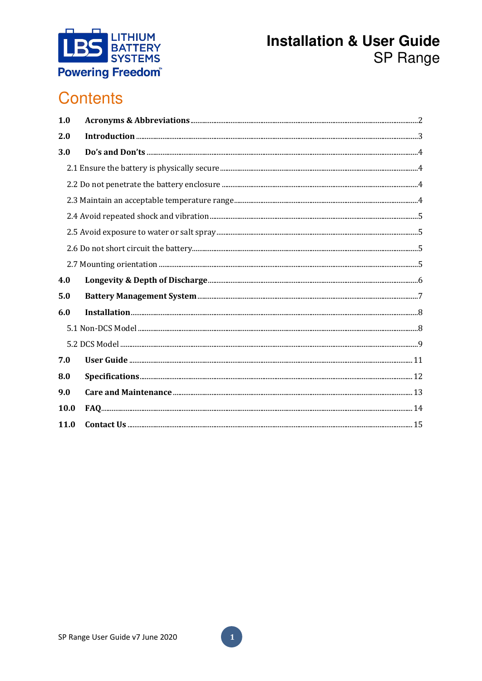

# **Contents**

| 1.0  |  |
|------|--|
| 2.0  |  |
| 3.0  |  |
|      |  |
|      |  |
|      |  |
|      |  |
|      |  |
|      |  |
|      |  |
| 4.0  |  |
| 5.0  |  |
| 6.0  |  |
|      |  |
|      |  |
| 7.0  |  |
| 8.0  |  |
| 9.0  |  |
| 10.0 |  |
| 11.0 |  |

 $\mathbf{1}$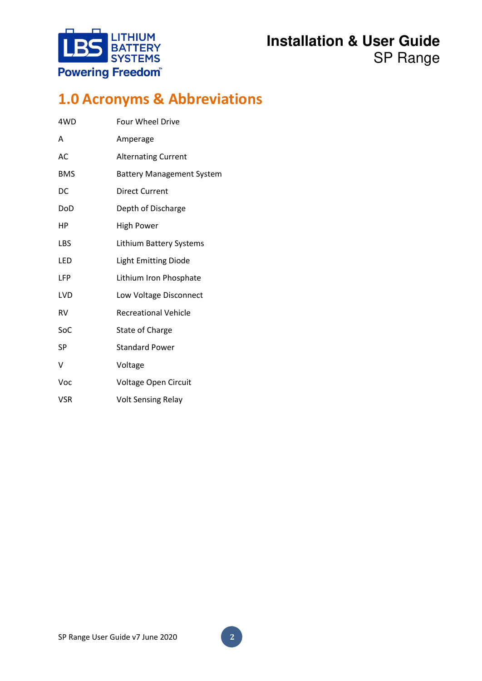

# <span id="page-2-0"></span>**1.0 Acronyms & Abbreviations**

| 4WD        | <b>Four Wheel Drive</b>          |
|------------|----------------------------------|
| Α          | Amperage                         |
| AC         | <b>Alternating Current</b>       |
| <b>BMS</b> | <b>Battery Management System</b> |
| DC         | <b>Direct Current</b>            |
| DoD        | Depth of Discharge               |
| НP         | <b>High Power</b>                |
| LBS        | <b>Lithium Battery Systems</b>   |
| LED        | <b>Light Emitting Diode</b>      |
| LFP        | Lithium Iron Phosphate           |
| <b>LVD</b> | Low Voltage Disconnect           |
| <b>RV</b>  | <b>Recreational Vehicle</b>      |
| SoC        | <b>State of Charge</b>           |
| SP         | <b>Standard Power</b>            |
| V          | Voltage                          |
| Voc        | Voltage Open Circuit             |
| <b>VSR</b> | <b>Volt Sensing Relay</b>        |

**2**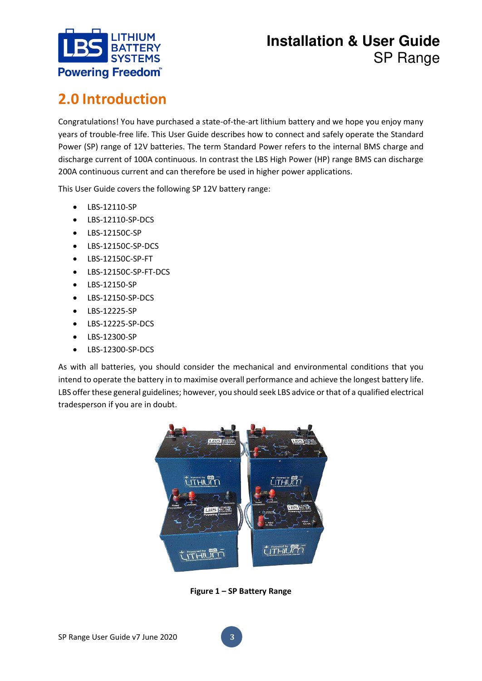

# <span id="page-3-0"></span>**2.0 Introduction**

Congratulations! You have purchased a state-of-the-art lithium battery and we hope you enjoy many years of trouble-free life. This User Guide describes how to connect and safely operate the Standard Power (SP) range of 12V batteries. The term Standard Power refers to the internal BMS charge and discharge current of 100A continuous. In contrast the LBS High Power (HP) range BMS can discharge 200A continuous current and can therefore be used in higher power applications.

This User Guide covers the following SP 12V battery range:

- LBS-12110-SP
- LBS-12110-SP-DCS
- LBS-12150C-SP
- LBS-12150C-SP-DCS
- LBS-12150C-SP-FT
- LBS-12150C-SP-FT-DCS
- LBS-12150-SP
- LBS-12150-SP-DCS
- LBS-12225-SP
- LBS-12225-SP-DCS
- LBS-12300-SP
- LBS-12300-SP-DCS

As with all batteries, you should consider the mechanical and environmental conditions that you intend to operate the battery in to maximise overall performance and achieve the longest battery life. LBS offer these general guidelines; however, you should seek LBS advice or that of a qualified electrical tradesperson if you are in doubt.



**Figure 1 – SP Battery Range**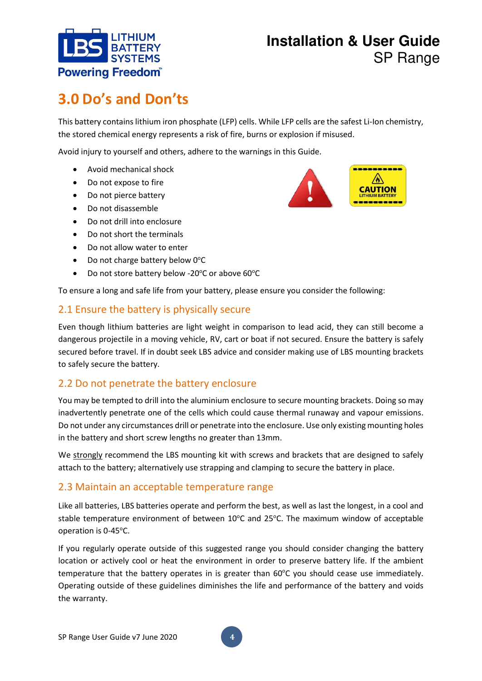

# <span id="page-4-0"></span>**3.0 Do's and Don'ts**

This battery contains lithium iron phosphate (LFP) cells. While LFP cells are the safest Li-Ion chemistry, the stored chemical energy represents a risk of fire, burns or explosion if misused.

Avoid injury to yourself and others, adhere to the warnings in this Guide.

- Avoid mechanical shock
- Do not expose to fire
- Do not pierce battery
- Do not disassemble
- Do not drill into enclosure
- Do not short the terminals
- Do not allow water to enter
- Do not charge battery below  $0^{\circ}$ C
- Do not store battery below -20 $^{\circ}$ C or above 60 $^{\circ}$ C

To ensure a long and safe life from your battery, please ensure you consider the following:

### <span id="page-4-1"></span>2.1 Ensure the battery is physically secure

Even though lithium batteries are light weight in comparison to lead acid, they can still become a dangerous projectile in a moving vehicle, RV, cart or boat if not secured. Ensure the battery is safely secured before travel. If in doubt seek LBS advice and consider making use of LBS mounting brackets to safely secure the battery.

### <span id="page-4-2"></span>2.2 Do not penetrate the battery enclosure

You may be tempted to drill into the aluminium enclosure to secure mounting brackets. Doing so may inadvertently penetrate one of the cells which could cause thermal runaway and vapour emissions. Do not under any circumstances drill or penetrate into the enclosure. Use only existing mounting holes in the battery and short screw lengths no greater than 13mm.

We strongly recommend the LBS mounting kit with screws and brackets that are designed to safely attach to the battery; alternatively use strapping and clamping to secure the battery in place.

### <span id="page-4-3"></span>2.3 Maintain an acceptable temperature range

Like all batteries, LBS batteries operate and perform the best, as well as last the longest, in a cool and stable temperature environment of between  $10^{\circ}$ C and  $25^{\circ}$ C. The maximum window of acceptable operation is 0-45°C.

If you regularly operate outside of this suggested range you should consider changing the battery location or actively cool or heat the environment in order to preserve battery life. If the ambient temperature that the battery operates in is greater than 60°C you should cease use immediately. Operating outside of these guidelines diminishes the life and performance of the battery and voids the warranty.

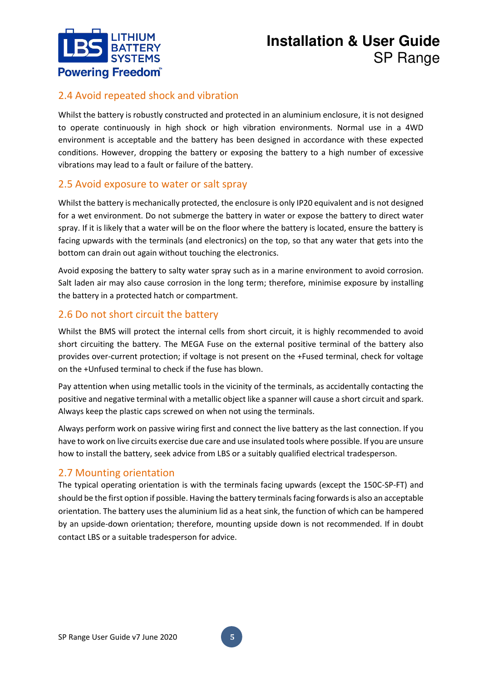

### <span id="page-5-0"></span>2.4 Avoid repeated shock and vibration

Whilst the battery is robustly constructed and protected in an aluminium enclosure, it is not designed to operate continuously in high shock or high vibration environments. Normal use in a 4WD environment is acceptable and the battery has been designed in accordance with these expected conditions. However, dropping the battery or exposing the battery to a high number of excessive vibrations may lead to a fault or failure of the battery.

### <span id="page-5-1"></span>2.5 Avoid exposure to water or salt spray

Whilst the battery is mechanically protected, the enclosure is only IP20 equivalent and is not designed for a wet environment. Do not submerge the battery in water or expose the battery to direct water spray. If it is likely that a water will be on the floor where the battery is located, ensure the battery is facing upwards with the terminals (and electronics) on the top, so that any water that gets into the bottom can drain out again without touching the electronics.

Avoid exposing the battery to salty water spray such as in a marine environment to avoid corrosion. Salt laden air may also cause corrosion in the long term; therefore, minimise exposure by installing the battery in a protected hatch or compartment.

### <span id="page-5-2"></span>2.6 Do not short circuit the battery

Whilst the BMS will protect the internal cells from short circuit, it is highly recommended to avoid short circuiting the battery. The MEGA Fuse on the external positive terminal of the battery also provides over-current protection; if voltage is not present on the +Fused terminal, check for voltage on the +Unfused terminal to check if the fuse has blown.

Pay attention when using metallic tools in the vicinity of the terminals, as accidentally contacting the positive and negative terminal with a metallic object like a spanner will cause a short circuit and spark. Always keep the plastic caps screwed on when not using the terminals.

Always perform work on passive wiring first and connect the live battery as the last connection. If you have to work on live circuits exercise due care and use insulated tools where possible. If you are unsure how to install the battery, seek advice from LBS or a suitably qualified electrical tradesperson.

### <span id="page-5-3"></span>2.7 Mounting orientation

The typical operating orientation is with the terminals facing upwards (except the 150C-SP-FT) and should be the first option if possible. Having the battery terminals facing forwards is also an acceptable orientation. The battery uses the aluminium lid as a heat sink, the function of which can be hampered by an upside-down orientation; therefore, mounting upside down is not recommended. If in doubt contact LBS or a suitable tradesperson for advice.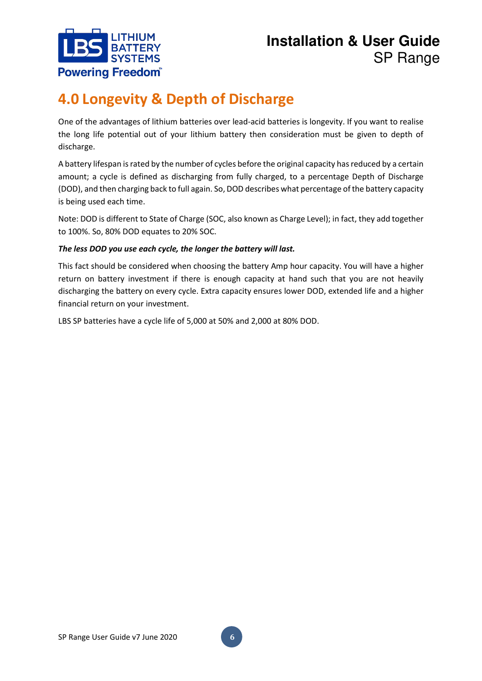

# <span id="page-6-0"></span>**4.0 Longevity & Depth of Discharge**

One of the advantages of lithium batteries over lead-acid batteries is longevity. If you want to realise the long life potential out of your lithium battery then consideration must be given to depth of discharge.

A battery lifespan is rated by the number of cycles before the original capacity has reduced by a certain amount; a cycle is defined as discharging from fully charged, to a percentage Depth of Discharge (DOD), and then charging back to full again. So, DOD describes what percentage of the battery capacity is being used each time.

Note: DOD is different to State of Charge (SOC, also known as Charge Level); in fact, they add together to 100%. So, 80% DOD equates to 20% SOC.

### *The less DOD you use each cycle, the longer the battery will last.*

This fact should be considered when choosing the battery Amp hour capacity. You will have a higher return on battery investment if there is enough capacity at hand such that you are not heavily discharging the battery on every cycle. Extra capacity ensures lower DOD, extended life and a higher financial return on your investment.

LBS SP batteries have a cycle life of 5,000 at 50% and 2,000 at 80% DOD.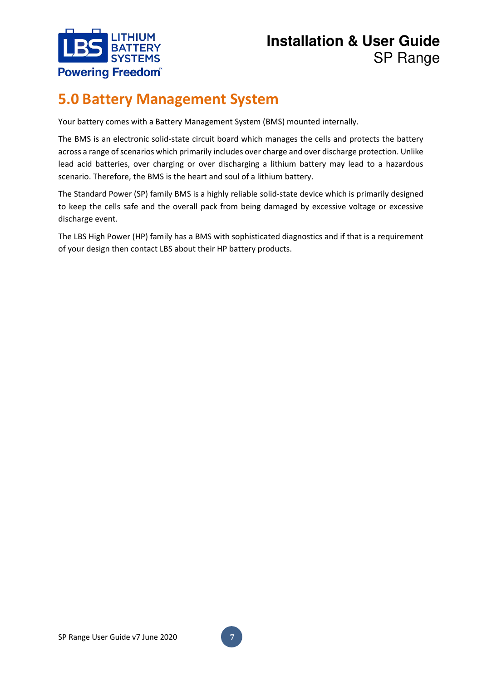

# <span id="page-7-0"></span>**5.0 Battery Management System**

Your battery comes with a Battery Management System (BMS) mounted internally.

The BMS is an electronic solid-state circuit board which manages the cells and protects the battery across a range of scenarios which primarily includes over charge and over discharge protection. Unlike lead acid batteries, over charging or over discharging a lithium battery may lead to a hazardous scenario. Therefore, the BMS is the heart and soul of a lithium battery.

The Standard Power (SP) family BMS is a highly reliable solid-state device which is primarily designed to keep the cells safe and the overall pack from being damaged by excessive voltage or excessive discharge event.

The LBS High Power (HP) family has a BMS with sophisticated diagnostics and if that is a requirement of your design then contact LBS about their HP battery products.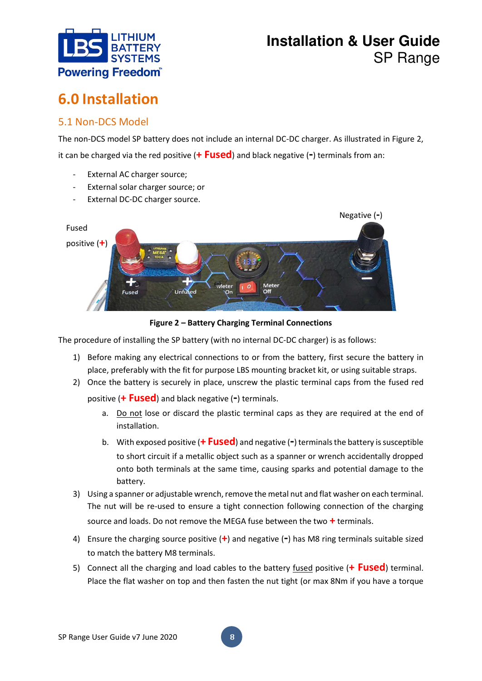

# <span id="page-8-0"></span>**6.0 Installation**

### <span id="page-8-1"></span>5.1 Non-DCS Model

The non-DCS model SP battery does not include an internal DC-DC charger. As illustrated in Figure 2, it can be charged via the red positive (**+ Fused**) and black negative (**-**) terminals from an:

- External AC charger source;
- External solar charger source; or
- External DC-DC charger source.



**Figure 2 – Battery Charging Terminal Connections** 

The procedure of installing the SP battery (with no internal DC-DC charger) is as follows:

- 1) Before making any electrical connections to or from the battery, first secure the battery in place, preferably with the fit for purpose LBS mounting bracket kit, or using suitable straps.
- 2) Once the battery is securely in place, unscrew the plastic terminal caps from the fused red

positive (**+ Fused**) and black negative (**-**) terminals.

- a. Do not lose or discard the plastic terminal caps as they are required at the end of installation.
- b. With exposed positive (**+ Fused**) and negative (**-**) terminals the battery is susceptible to short circuit if a metallic object such as a spanner or wrench accidentally dropped onto both terminals at the same time, causing sparks and potential damage to the battery.
- 3) Using a spanner or adjustable wrench, remove the metal nut and flat washer on each terminal. The nut will be re-used to ensure a tight connection following connection of the charging source and loads. Do not remove the MEGA fuse between the two **+** terminals.
- 4) Ensure the charging source positive (**+**) and negative (**-**) has M8 ring terminals suitable sized to match the battery M8 terminals.
- 5) Connect all the charging and load cables to the battery fused positive (**+ Fused**) terminal. Place the flat washer on top and then fasten the nut tight (or max 8Nm if you have a torque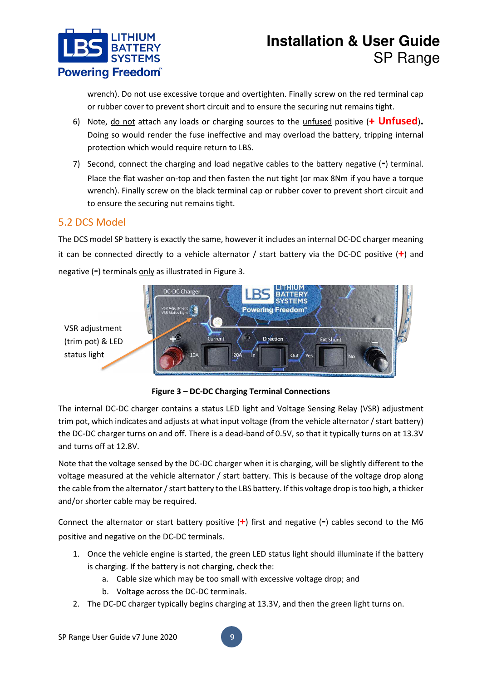

wrench). Do not use excessive torque and overtighten. Finally screw on the red terminal cap or rubber cover to prevent short circuit and to ensure the securing nut remains tight.

- 6) Note, do not attach any loads or charging sources to the unfused positive (**+ Unfused**)**.** Doing so would render the fuse ineffective and may overload the battery, tripping internal protection which would require return to LBS.
- 7) Second, connect the charging and load negative cables to the battery negative (**-**) terminal. Place the flat washer on-top and then fasten the nut tight (or max 8Nm if you have a torque wrench). Finally screw on the black terminal cap or rubber cover to prevent short circuit and to ensure the securing nut remains tight.

### <span id="page-9-0"></span>5.2 DCS Model

status light

The DCS model SP battery is exactly the same, however it includes an internal DC-DC charger meaning it can be connected directly to a vehicle alternator / start battery via the DC-DC positive (**+**) and negative (**-**) terminals only as illustrated in Figure 3.



**Figure 3 – DC-DC Charging Terminal Connections** 

The internal DC-DC charger contains a status LED light and Voltage Sensing Relay (VSR) adjustment trim pot, which indicates and adjusts at what input voltage (from the vehicle alternator / start battery) the DC-DC charger turns on and off. There is a dead-band of 0.5V, so that it typically turns on at 13.3V and turns off at 12.8V.

Note that the voltage sensed by the DC-DC charger when it is charging, will be slightly different to the voltage measured at the vehicle alternator / start battery. This is because of the voltage drop along the cable from the alternator / start battery to the LBS battery. If this voltage drop is too high, a thicker and/or shorter cable may be required.

Connect the alternator or start battery positive (**+**) first and negative (**-**) cables second to the M6 positive and negative on the DC-DC terminals.

- 1. Once the vehicle engine is started, the green LED status light should illuminate if the battery is charging. If the battery is not charging, check the:
	- a. Cable size which may be too small with excessive voltage drop; and
	- b. Voltage across the DC-DC terminals.
- 2. The DC-DC charger typically begins charging at 13.3V, and then the green light turns on.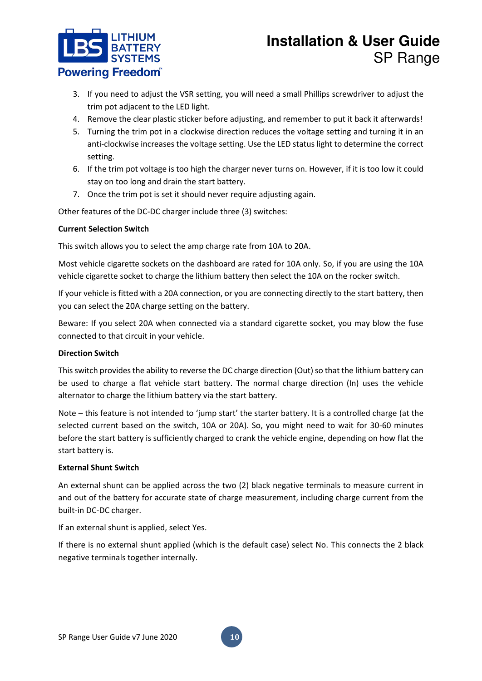

- 3. If you need to adjust the VSR setting, you will need a small Phillips screwdriver to adjust the trim pot adjacent to the LED light.
- 4. Remove the clear plastic sticker before adjusting, and remember to put it back it afterwards!
- 5. Turning the trim pot in a clockwise direction reduces the voltage setting and turning it in an anti-clockwise increases the voltage setting. Use the LED status light to determine the correct setting.
- 6. If the trim pot voltage is too high the charger never turns on. However, if it is too low it could stay on too long and drain the start battery.
- 7. Once the trim pot is set it should never require adjusting again.

Other features of the DC-DC charger include three (3) switches:

#### **Current Selection Switch**

This switch allows you to select the amp charge rate from 10A to 20A.

Most vehicle cigarette sockets on the dashboard are rated for 10A only. So, if you are using the 10A vehicle cigarette socket to charge the lithium battery then select the 10A on the rocker switch.

If your vehicle is fitted with a 20A connection, or you are connecting directly to the start battery, then you can select the 20A charge setting on the battery.

Beware: If you select 20A when connected via a standard cigarette socket, you may blow the fuse connected to that circuit in your vehicle.

### **Direction Switch**

This switch provides the ability to reverse the DC charge direction (Out) so that the lithium battery can be used to charge a flat vehicle start battery. The normal charge direction (In) uses the vehicle alternator to charge the lithium battery via the start battery.

Note – this feature is not intended to 'jump start' the starter battery. It is a controlled charge (at the selected current based on the switch, 10A or 20A). So, you might need to wait for 30-60 minutes before the start battery is sufficiently charged to crank the vehicle engine, depending on how flat the start battery is.

#### **External Shunt Switch**

An external shunt can be applied across the two (2) black negative terminals to measure current in and out of the battery for accurate state of charge measurement, including charge current from the built-in DC-DC charger.

If an external shunt is applied, select Yes.

If there is no external shunt applied (which is the default case) select No. This connects the 2 black negative terminals together internally.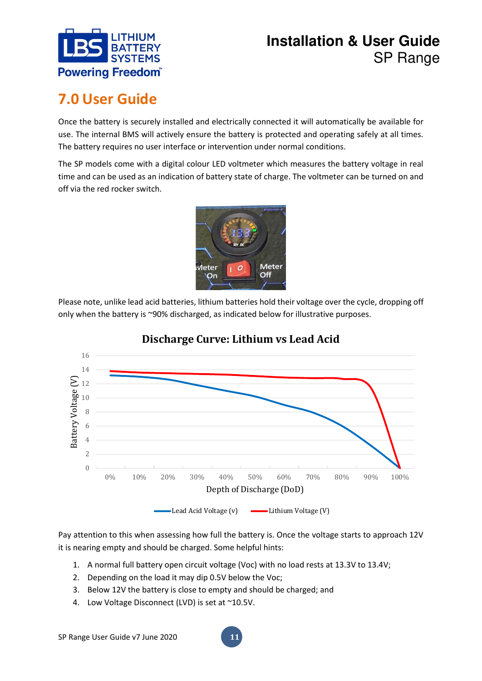

# <span id="page-11-0"></span>**7.0 User Guide**

Once the battery is securely installed and electrically connected it will automatically be available for use. The internal BMS will actively ensure the battery is protected and operating safely at all times. The battery requires no user interface or intervention under normal conditions.

The SP models come with a digital colour LED voltmeter which measures the battery voltage in real time and can be used as an indication of battery state of charge. The voltmeter can be turned on and off via the red rocker switch.



Please note, unlike lead acid batteries, lithium batteries hold their voltage over the cycle, dropping off only when the battery is ~90% discharged, as indicated below for illustrative purposes.



### **Discharge Curve: Lithium vs Lead Acid**

Pay attention to this when assessing how full the battery is. Once the voltage starts to approach 12V it is nearing empty and should be charged. Some helpful hints:

- 1. A normal full battery open circuit voltage (Voc) with no load rests at 13.3V to 13.4V;
- 2. Depending on the load it may dip 0.5V below the Voc;
- 3. Below 12V the battery is close to empty and should be charged; and
- 4. Low Voltage Disconnect (LVD) is set at ~10.5V.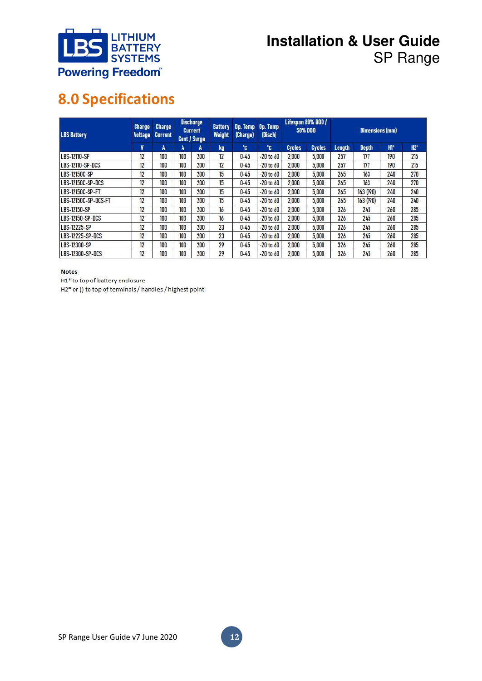

# <span id="page-12-0"></span>**8.0 Specifications**

| <b>LBS Battery</b>      | Charge<br><b>Voltage</b> | <b>Charge</b><br><b>Current</b> | <b>Discharge</b><br><b>Current</b><br>Cont / Surge |     | <b>Battery</b><br><b>Weight</b> | Op. Temp<br>(Charge) | Op. Temp<br>(Disch) | Lifespan 80% DOD /<br><b>50% DOD</b> |               | <b>Dimensions (mm)</b> |              |       |        |
|-------------------------|--------------------------|---------------------------------|----------------------------------------------------|-----|---------------------------------|----------------------|---------------------|--------------------------------------|---------------|------------------------|--------------|-------|--------|
|                         | V                        | A                               | A                                                  | A   | kg                              | °C                   | °C                  | <b>Cycles</b>                        | <b>Cycles</b> | Length                 | <b>Depth</b> | $H^*$ | $H2$ * |
| LBS-12110-SP            | 12                       | 100                             | 100                                                | 200 | 12                              | $0 - 45$             | $-20$ to $60$       | 2,000                                | 5,000         | 257                    | 177          | 190   | 215    |
| <b>LBS-12110-SP-DCS</b> | 12                       | 100                             | 100                                                | 200 | 12                              | $0 - 45$             | $-20$ to $60$       | 2,000                                | 5,000         | 257                    | 177          | 190   | 215    |
| <b>LBS-12150C-SP</b>    | 12                       | 100                             | 100                                                | 200 | 15                              | $0 - 45$             | $-20$ to $60$       | 2,000                                | 5,000         | 265                    | 163          | 240   | 270    |
| LBS-12150C-SP-DCS       | 12                       | 100                             | 100                                                | 200 | 15                              | $0 - 45$             | $-20$ to $60$       | 2,000                                | 5,000         | 265                    | 163          | 240   | 270    |
| LBS-12150C-SP-FT        | 12                       | 100                             | 100                                                | 200 | 15                              | $0 - 45$             | $-20$ to $60$       | 2,000                                | 5,000         | 265                    | 163 (190)    | 240   | 240    |
| LBS-12150C-SP-DCS-FT    | 12                       | 100                             | 100                                                | 200 | 15                              | $0 - 45$             | $-20$ to $60$       | 2,000                                | 5,000         | 265                    | 163 (190)    | 240   | 240    |
| LBS-12150-SP            | 12                       | 100                             | 100                                                | 200 | 16                              | $0 - 45$             | $-20$ to $60$       | 2,000                                | 5,000         | 326                    | 245          | 260   | 285    |
| LBS-12150-SP-DCS        | 12                       | 100                             | 100                                                | 200 | 16                              | $0 - 45$             | $-20$ to $60$       | 2,000                                | 5,000         | 326                    | 245          | 260   | 285    |
| LBS-12225-SP            | 12                       | 100                             | 100                                                | 200 | 23                              | $0 - 45$             | $-20$ to $60$       | 2,000                                | 5,000         | 326                    | 245          | 260   | 285    |
| LBS-12225-SP-DCS        | 12                       | 100                             | 100                                                | 200 | 23                              | $0 - 45$             | $-20$ to $60$       | 2,000                                | 5,000         | 326                    | 245          | 260   | 285    |
| LBS-12300-SP            | 12                       | 100                             | 100                                                | 200 | 29                              | $0 - 45$             | $-20$ to $60$       | 2,000                                | 5,000         | 326                    | 245          | 260   | 285    |
| LBS-12300-SP-DCS        | 12                       | 100                             | 100                                                | 200 | 29                              | $0 - 45$             | $-20$ to $60$       | 2,000                                | 5,000         | 326                    | 245          | 260   | 285    |

#### **Notes**

H1\* to top of battery enclosure

 $H2^*$  or () to top of terminals / handles / highest point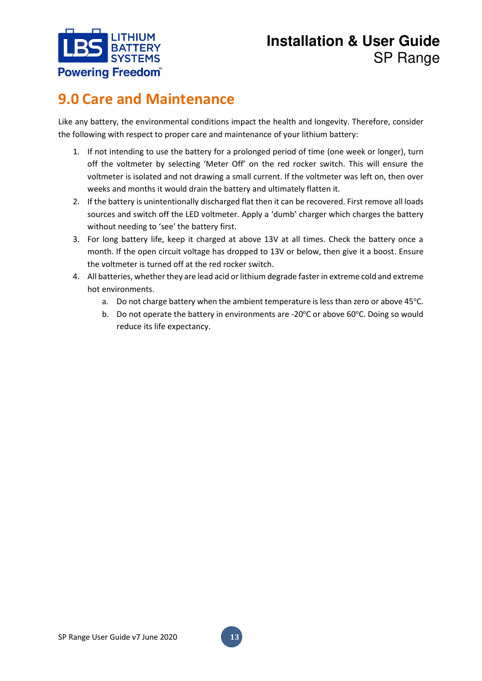

# <span id="page-13-0"></span>**9.0 Care and Maintenance**

Like any battery, the environmental conditions impact the health and longevity. Therefore, consider the following with respect to proper care and maintenance of your lithium battery:

- 1. If not intending to use the battery for a prolonged period of time (one week or longer), turn off the voltmeter by selecting 'Meter Off' on the red rocker switch. This will ensure the voltmeter is isolated and not drawing a small current. If the voltmeter was left on, then over weeks and months it would drain the battery and ultimately flatten it.
- 2. If the battery is unintentionally discharged flat then it can be recovered. First remove all loads sources and switch off the LED voltmeter. Apply a 'dumb' charger which charges the battery without needing to 'see' the battery first.
- 3. For long battery life, keep it charged at above 13V at all times. Check the battery once a month. If the open circuit voltage has dropped to 13V or below, then give it a boost. Ensure the voltmeter is turned off at the red rocker switch.
- 4. All batteries, whether they are lead acid or lithium degrade faster in extreme cold and extreme hot environments.
	- a. Do not charge battery when the ambient temperature is less than zero or above 45°C.
	- b. Do not operate the battery in environments are -20 $\degree$ C or above 60 $\degree$ C. Doing so would reduce its life expectancy.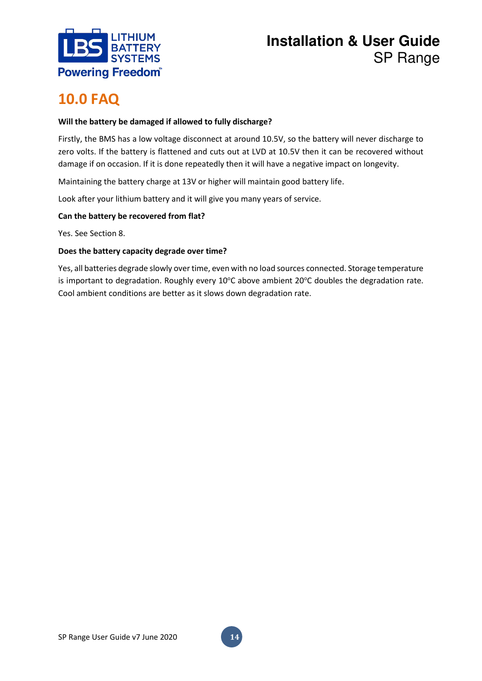

## <span id="page-14-0"></span>**10.0 FAQ**

### **Will the battery be damaged if allowed to fully discharge?**

Firstly, the BMS has a low voltage disconnect at around 10.5V, so the battery will never discharge to zero volts. If the battery is flattened and cuts out at LVD at 10.5V then it can be recovered without damage if on occasion. If it is done repeatedly then it will have a negative impact on longevity.

Maintaining the battery charge at 13V or higher will maintain good battery life.

Look after your lithium battery and it will give you many years of service.

### **Can the battery be recovered from flat?**

Yes. See Section 8.

#### **Does the battery capacity degrade over time?**

Yes, all batteries degrade slowly over time, even with no load sources connected. Storage temperature is important to degradation. Roughly every 10°C above ambient 20°C doubles the degradation rate. Cool ambient conditions are better as it slows down degradation rate.